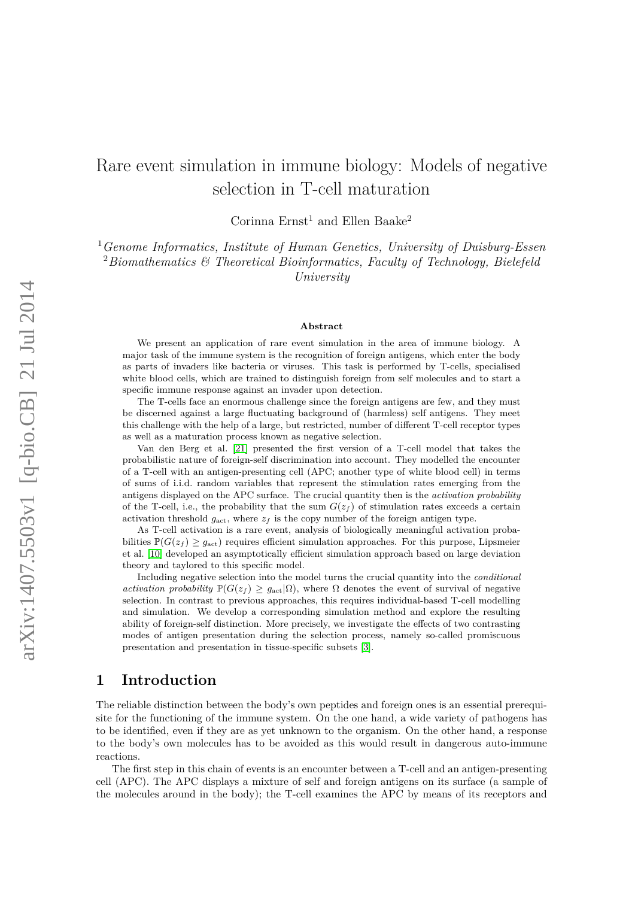# Rare event simulation in immune biology: Models of negative selection in T-cell maturation

Corinna $\mathrm{Ernst}^1$  and  $\mathrm{Ellen}$  Baake<sup>2</sup>

<sup>1</sup>*Genome Informatics, Institute of Human Genetics, University of Duisburg-Essen* <sup>2</sup>*Biomathematics & Theoretical Bioinformatics, Faculty of Technology, Bielefeld University*

#### **Abstract**

We present an application of rare event simulation in the area of immune biology. A major task of the immune system is the recognition of foreign antigens, which enter the body as parts of invaders like bacteria or viruses. This task is performed by T-cells, specialised white blood cells, which are trained to distinguish foreign from self molecules and to start a specific immune response against an invader upon detection.

The T-cells face an enormous challenge since the foreign antigens are few, and they must be discerned against a large fluctuating background of (harmless) self antigens. They meet this challenge with the help of a large, but restricted, number of different T-cell receptor types as well as a maturation process known as negative selection.

Van den Berg et al. [\[21\]](#page-12-0) presented the first version of a T-cell model that takes the probabilistic nature of foreign-self discrimination into account. They modelled the encounter of a T-cell with an antigen-presenting cell (APC; another type of white blood cell) in terms of sums of i.i.d. random variables that represent the stimulation rates emerging from the antigens displayed on the APC surface. The crucial quantity then is the *activation probability* of the T-cell, i.e., the probability that the sum  $G(z_f)$  of stimulation rates exceeds a certain activation threshold  $g_{\text{act}}$ , where  $z_f$  is the copy number of the foreign antigen type.

As T-cell activation is a rare event, analysis of biologically meaningful activation probabilities  $\mathbb{P}(G(z_f) \geq g_{\text{act}})$  requires efficient simulation approaches. For this purpose, Lipsmeier et al. [\[10\]](#page-11-0) developed an asymptotically efficient simulation approach based on large deviation theory and taylored to this specific model.

Including negative selection into the model turns the crucial quantity into the *conditional activation probability*  $\mathbb{P}(G(z_f) \geq g_{\text{act}} | \Omega)$ , where  $\Omega$  denotes the event of survival of negative selection. In contrast to previous approaches, this requires individual-based T-cell modelling and simulation. We develop a corresponding simulation method and explore the resulting ability of foreign-self distinction. More precisely, we investigate the effects of two contrasting modes of antigen presentation during the selection process, namely so-called promiscuous presentation and presentation in tissue-specific subsets [\[3\]](#page-11-1).

### **1 Introduction**

The reliable distinction between the body's own peptides and foreign ones is an essential prerequisite for the functioning of the immune system. On the one hand, a wide variety of pathogens has to be identified, even if they are as yet unknown to the organism. On the other hand, a response to the body's own molecules has to be avoided as this would result in dangerous auto-immune reactions.

The first step in this chain of events is an encounter between a T-cell and an antigen-presenting cell (APC). The APC displays a mixture of self and foreign antigens on its surface (a sample of the molecules around in the body); the T-cell examines the APC by means of its receptors and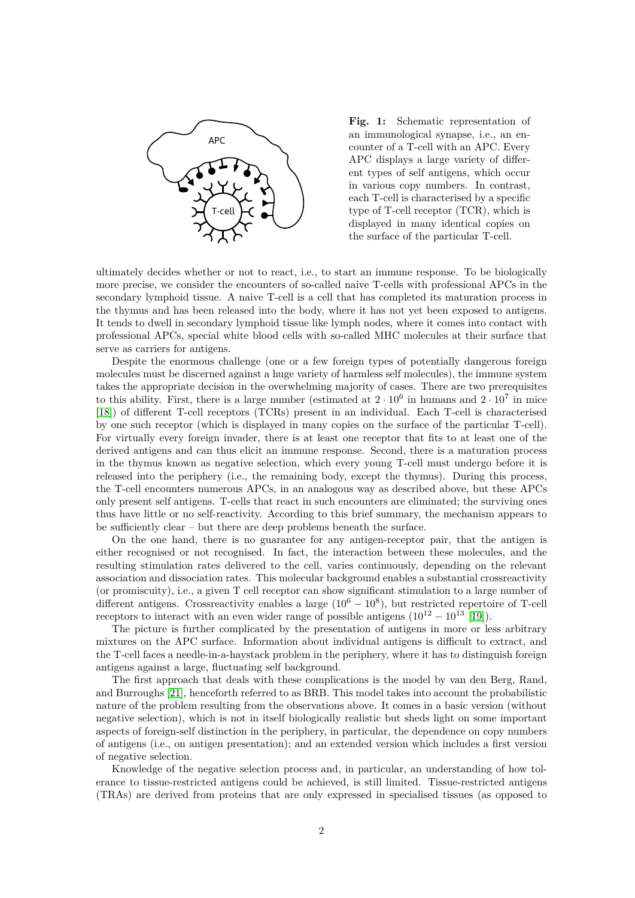

**Fig. 1:** Schematic representation of an immunological synapse, i.e., an encounter of a T-cell with an APC. Every APC displays a large variety of different types of self antigens, which occur in various copy numbers. In contrast, each T-cell is characterised by a specific type of T-cell receptor (TCR), which is displayed in many identical copies on the surface of the particular T-cell.

ultimately decides whether or not to react, i.e., to start an immune response. To be biologically more precise, we consider the encounters of so-called naive T-cells with professional APCs in the secondary lymphoid tissue. A naive T-cell is a cell that has completed its maturation process in the thymus and has been released into the body, where it has not yet been exposed to antigens. It tends to dwell in secondary lymphoid tissue like lymph nodes, where it comes into contact with professional APCs, special white blood cells with so-called MHC molecules at their surface that serve as carriers for antigens.

Despite the enormous challenge (one or a few foreign types of potentially dangerous foreign molecules must be discerned against a huge variety of harmless self molecules), the immune system takes the appropriate decision in the overwhelming majority of cases. There are two prerequisites to this ability. First, there is a large number (estimated at  $2 \cdot 10^6$  in humans and  $2 \cdot 10^7$  in mice [\[18\]](#page-12-1)) of different T-cell receptors (TCRs) present in an individual. Each T-cell is characterised by one such receptor (which is displayed in many copies on the surface of the particular T-cell). For virtually every foreign invader, there is at least one receptor that fits to at least one of the derived antigens and can thus elicit an immune response. Second, there is a maturation process in the thymus known as negative selection, which every young T-cell must undergo before it is released into the periphery (i.e., the remaining body, except the thymus). During this process, the T-cell encounters numerous APCs, in an analogous way as described above, but these APCs only present self antigens. T-cells that react in such encounters are eliminated; the surviving ones thus have little or no self-reactivity. According to this brief summary, the mechanism appears to be sufficiently clear – but there are deep problems beneath the surface.

On the one hand, there is no guarantee for any antigen-receptor pair, that the antigen is either recognised or not recognised. In fact, the interaction between these molecules, and the resulting stimulation rates delivered to the cell, varies continuously, depending on the relevant association and dissociation rates. This molecular background enables a substantial crossreactivity (or promiscuity), i.e., a given T cell receptor can show significant stimulation to a large number of different antigens. Crossreactivity enables a large  $(10^6 - 10^8)$ , but restricted repertoire of T-cell receptors to interact with an even wider range of possible antigens  $(10^{12} - 10^{13}$  [\[19\]](#page-12-2)).

The picture is further complicated by the presentation of antigens in more or less arbitrary mixtures on the APC surface. Information about individual antigens is difficult to extract, and the T-cell faces a needle-in-a-haystack problem in the periphery, where it has to distinguish foreign antigens against a large, fluctuating self background.

The first approach that deals with these complications is the model by van den Berg, Rand, and Burroughs [\[21\]](#page-12-0), henceforth referred to as BRB. This model takes into account the probabilistic nature of the problem resulting from the observations above. It comes in a basic version (without negative selection), which is not in itself biologically realistic but sheds light on some important aspects of foreign-self distinction in the periphery, in particular, the dependence on copy numbers of antigens (i.e., on antigen presentation); and an extended version which includes a first version of negative selection.

Knowledge of the negative selection process and, in particular, an understanding of how tolerance to tissue-restricted antigens could be achieved, is still limited. Tissue-restricted antigens (TRAs) are derived from proteins that are only expressed in specialised tissues (as opposed to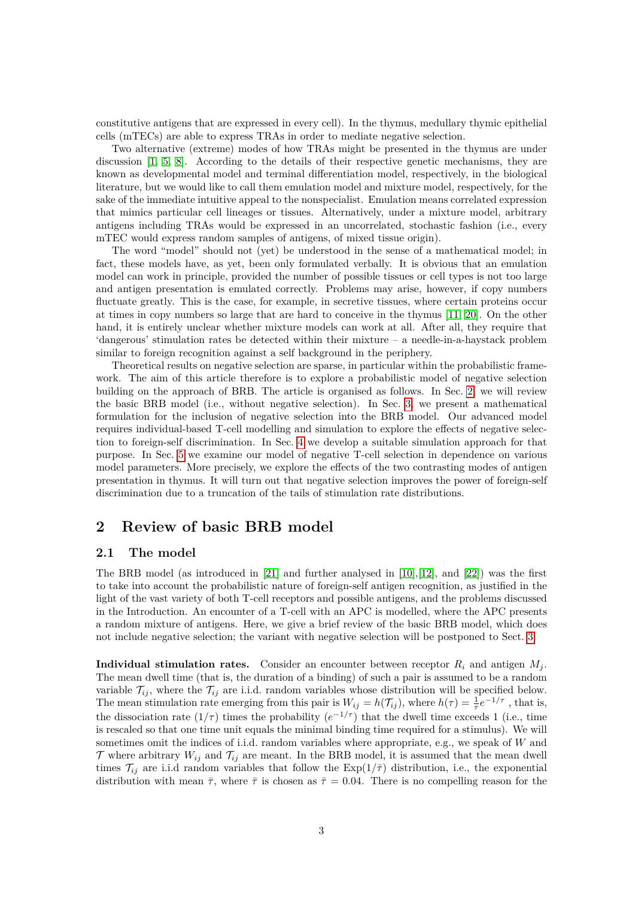constitutive antigens that are expressed in every cell). In the thymus, medullary thymic epithelial cells (mTECs) are able to express TRAs in order to mediate negative selection.

Two alternative (extreme) modes of how TRAs might be presented in the thymus are under discussion [\[1,](#page-11-2) [5,](#page-11-3) [8\]](#page-11-4). According to the details of their respective genetic mechanisms, they are known as developmental model and terminal differentiation model, respectively, in the biological literature, but we would like to call them emulation model and mixture model, respectively, for the sake of the immediate intuitive appeal to the nonspecialist. Emulation means correlated expression that mimics particular cell lineages or tissues. Alternatively, under a mixture model, arbitrary antigens including TRAs would be expressed in an uncorrelated, stochastic fashion (i.e., every mTEC would express random samples of antigens, of mixed tissue origin).

The word "model" should not (yet) be understood in the sense of a mathematical model; in fact, these models have, as yet, been only formulated verbally. It is obvious that an emulation model can work in principle, provided the number of possible tissues or cell types is not too large and antigen presentation is emulated correctly. Problems may arise, however, if copy numbers fluctuate greatly. This is the case, for example, in secretive tissues, where certain proteins occur at times in copy numbers so large that are hard to conceive in the thymus [\[11,](#page-12-3) [20\]](#page-12-4). On the other hand, it is entirely unclear whether mixture models can work at all. After all, they require that 'dangerous' stimulation rates be detected within their mixture – a needle-in-a-haystack problem similar to foreign recognition against a self background in the periphery.

Theoretical results on negative selection are sparse, in particular within the probabilistic framework. The aim of this article therefore is to explore a probabilistic model of negative selection building on the approach of BRB. The article is organised as follows. In Sec. [2,](#page-2-0) we will review the basic BRB model (i.e., without negative selection). In Sec. [3,](#page-4-0) we present a mathematical formulation for the inclusion of negative selection into the BRB model. Our advanced model requires individual-based T-cell modelling and simulation to explore the effects of negative selection to foreign-self discrimination. In Sec. [4](#page-6-0) we develop a suitable simulation approach for that purpose. In Sec. [5](#page-8-0) we examine our model of negative T-cell selection in dependence on various model parameters. More precisely, we explore the effects of the two contrasting modes of antigen presentation in thymus. It will turn out that negative selection improves the power of foreign-self discrimination due to a truncation of the tails of stimulation rate distributions.

# <span id="page-2-0"></span>**2 Review of basic BRB model**

### **2.1 The model**

The BRB model (as introduced in [\[21\]](#page-12-0) and further analysed in [\[10\]](#page-11-0),[\[12\]](#page-12-5), and [\[22\]](#page-12-6)) was the first to take into account the probabilistic nature of foreign-self antigen recognition, as justified in the light of the vast variety of both T-cell receptors and possible antigens, and the problems discussed in the Introduction. An encounter of a T-cell with an APC is modelled, where the APC presents a random mixture of antigens. Here, we give a brief review of the basic BRB model, which does not include negative selection; the variant with negative selection will be postponed to Sect. [3.](#page-4-0)

**Individual stimulation rates.** Consider an encounter between receptor  $R_i$  and antigen  $M_i$ . The mean dwell time (that is, the duration of a binding) of such a pair is assumed to be a random variable  $\mathcal{T}_{ij}$ , where the  $\mathcal{T}_{ij}$  are i.i.d. random variables whose distribution will be specified below. The mean stimulation rate emerging from this pair is  $W_{ij} = h(\mathcal{T}_{ij})$ , where  $h(\tau) = \frac{1}{\tau}e^{-1/\tau}$ , that is, the dissociation rate  $(1/\tau)$  times the probability  $(e^{-1/\tau})$  that the dwell time exceeds 1 (i.e., time is rescaled so that one time unit equals the minimal binding time required for a stimulus). We will sometimes omit the indices of i.i.d. random variables where appropriate, e.g., we speak of *W* and  $\mathcal T$  where arbitrary  $W_{ij}$  and  $\mathcal T_{ij}$  are meant. In the BRB model, it is assumed that the mean dwell times  $\mathcal{T}_{ij}$  are i.i.d random variables that follow the  $Exp(1/\overline{\tau})$  distribution, i.e., the exponential distribution with mean  $\bar{\tau}$ , where  $\bar{\tau}$  is chosen as  $\bar{\tau}=0.04$ . There is no compelling reason for the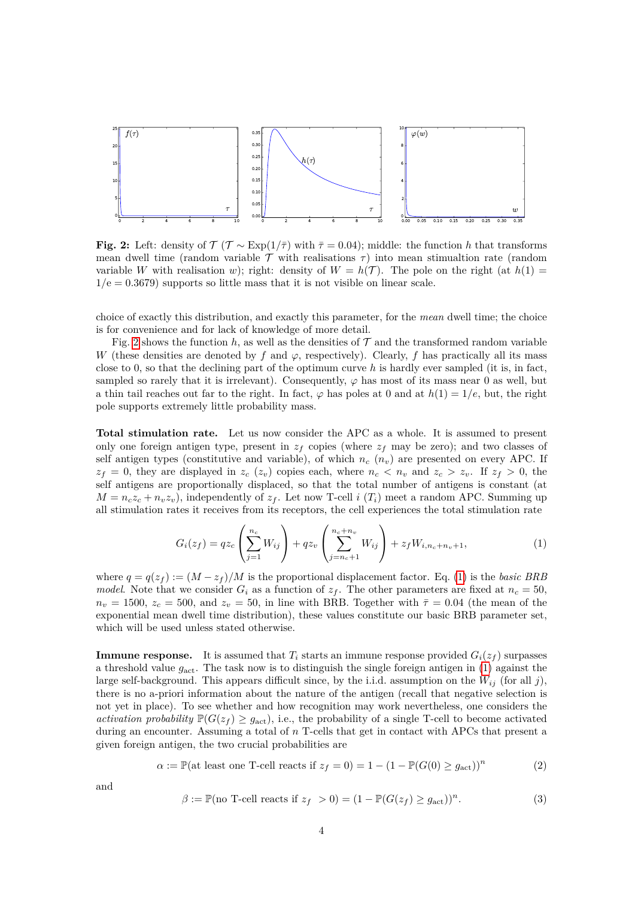<span id="page-3-0"></span>

**Fig. 2:** Left: density of  $\mathcal{T}$  ( $\mathcal{T} \sim \text{Exp}(1/\bar{\tau})$  with  $\bar{\tau} = 0.04$ ); middle: the function *h* that transforms mean dwell time (random variable  $\mathcal T$  with realisations  $\tau$ ) into mean stimualtion rate (random variable *W* with realisation *w*); right: density of  $W = h(\mathcal{T})$ . The pole on the right (at  $h(1) =$  $1/e = 0.3679$ ) supports so little mass that it is not visible on linear scale.

choice of exactly this distribution, and exactly this parameter, for the *mean* dwell time; the choice is for convenience and for lack of knowledge of more detail.

Fig. [2](#page-3-0) shows the function  $h$ , as well as the densities of  $\mathcal T$  and the transformed random variable *W* (these densities are denoted by *f* and  $\varphi$ , respectively). Clearly, *f* has practically all its mass close to 0, so that the declining part of the optimum curve *h* is hardly ever sampled (it is, in fact, sampled so rarely that it is irrelevant). Consequently,  $\varphi$  has most of its mass near 0 as well, but a thin tail reaches out far to the right. In fact,  $\varphi$  has poles at 0 and at  $h(1) = 1/e$ , but, the right pole supports extremely little probability mass.

**Total stimulation rate.** Let us now consider the APC as a whole. It is assumed to present only one foreign antigen type, present in  $z_f$  copies (where  $z_f$  may be zero); and two classes of self antigen types (constitutive and variable), of which  $n_c$  ( $n_v$ ) are presented on every APC. If  $z_f = 0$ , they are displayed in  $z_c$  ( $z_v$ ) copies each, where  $n_c < n_v$  and  $z_c > z_v$ . If  $z_f > 0$ , the self antigens are proportionally displaced, so that the total number of antigens is constant (at  $M = n_c z_c + n_v z_v$ , independently of  $z_f$ . Let now T-cell *i* (*T<sub>i</sub>*) meet a random APC. Summing up all stimulation rates it receives from its receptors, the cell experiences the total stimulation rate

<span id="page-3-1"></span>
$$
G_i(z_f) = qz_c \left(\sum_{j=1}^{n_c} W_{ij}\right) + qz_v \left(\sum_{j=n_c+1}^{n_c+n_v} W_{ij}\right) + z_f W_{i,n_c+n_v+1},\tag{1}
$$

where  $q = q(z_f) := (M - z_f)/M$  is the proportional displacement factor. Eq. [\(1\)](#page-3-1) is the *basic BRB model.* Note that we consider  $G_i$  as a function of  $z_f$ . The other parameters are fixed at  $n_c = 50$ ,  $n_v = 1500$ ,  $z_c = 500$ , and  $z_v = 50$ , in line with BRB. Together with  $\bar{\tau} = 0.04$  (the mean of the exponential mean dwell time distribution), these values constitute our basic BRB parameter set, which will be used unless stated otherwise.

**Immune response.** It is assumed that  $T_i$  starts an immune response provided  $G_i(z_f)$  surpasses a threshold value *g*act. The task now is to distinguish the single foreign antigen in [\(1\)](#page-3-1) against the large self-background. This appears difficult since, by the i.i.d. assumption on the  $W_{ij}$  (for all *j*), there is no a-priori information about the nature of the antigen (recall that negative selection is not yet in place). To see whether and how recognition may work nevertheless, one considers the *activation probability*  $\mathbb{P}(G(z_f) \geq g_{\text{act}})$ , i.e., the probability of a single T-cell to become activated during an encounter. Assuming a total of *n* T-cells that get in contact with APCs that present a given foreign antigen, the two crucial probabilities are

$$
\alpha := \mathbb{P}(\text{at least one T-cell reacts if } z_f = 0) = 1 - (1 - \mathbb{P}(G(0) \ge g_{\text{act}}))^n \tag{2}
$$

and

$$
\beta := \mathbb{P}(\text{no T-cell reacts if } z_f > 0) = (1 - \mathbb{P}(G(z_f) \ge g_{\text{act}}))^n. \tag{3}
$$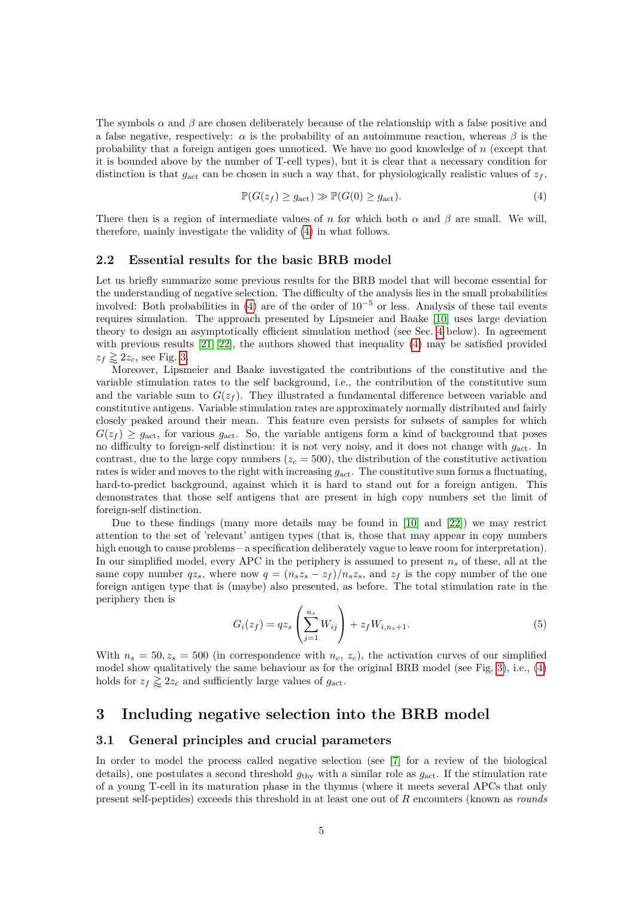The symbols  $\alpha$  and  $\beta$  are chosen deliberately because of the relationship with a false positive and a false negative, respectively:  $\alpha$  is the probability of an autoimmune reaction, whereas  $\beta$  is the probability that a foreign antigen goes unnoticed. We have no good knowledge of *n* (except that it is bounded above by the number of T-cell types), but it is clear that a necessary condition for distinction is that  $g_{\text{act}}$  can be chosen in such a way that, for physiologically realistic values of  $z_f$ ,

<span id="page-4-1"></span>
$$
\mathbb{P}(G(z_f) \ge g_{\text{act}}) \gg \mathbb{P}(G(0) \ge g_{\text{act}}). \tag{4}
$$

There then is a region of intermediate values of *n* for which both  $\alpha$  and  $\beta$  are small. We will, therefore, mainly investigate the validity of [\(4\)](#page-4-1) in what follows.

#### <span id="page-4-3"></span>**2.2 Essential results for the basic BRB model**

Let us briefly summarize some previous results for the BRB model that will become essential for the understanding of negative selection. The difficulty of the analysis lies in the small probabilities involved: Both probabilities in  $(4)$  are of the order of  $10^{-5}$  or less. Analysis of these tail events requires simulation. The approach presented by Lipsmeier and Baake [\[10\]](#page-11-0) uses large deviation theory to design an asymptotically efficient simulation method (see Sec. [4](#page-6-0) below). In agreement with previous results  $[21, 22]$  $[21, 22]$ , the authors showed that inequality  $(4)$  may be satisfied provided  $z_f \gtrapprox 2z_c$ , see Fig. [3.](#page-5-0)

Moreover, Lipsmeier and Baake investigated the contributions of the constitutive and the variable stimulation rates to the self background, i.e., the contribution of the constitutive sum and the variable sum to  $G(z_f)$ . They illustrated a fundamental difference between variable and constitutive antigens. Variable stimulation rates are approximately normally distributed and fairly closely peaked around their mean. This feature even persists for subsets of samples for which  $G(z_f) \geq g_{\text{act}}$ , for various  $g_{\text{act}}$ . So, the variable antigens form a kind of background that poses no difficulty to foreign-self distinction: it is not very noisy, and it does not change with *g*act. In contrast, due to the large copy numbers  $(z_c = 500)$ , the distribution of the constitutive activation rates is wider and moves to the right with increasing  $g_{\text{act}}$ . The constitutive sum forms a fluctuating, hard-to-predict background, against which it is hard to stand out for a foreign antigen. This demonstrates that those self antigens that are present in high copy numbers set the limit of foreign-self distinction.

Due to these findings (many more details may be found in [\[10\]](#page-11-0) and [\[22\]](#page-12-6)) we may restrict attention to the set of 'relevant' antigen types (that is, those that may appear in copy numbers high enough to cause problems – a specification deliberately vague to leave room for interpretation). In our simplified model, every APC in the periphery is assumed to present *n<sup>s</sup>* of these, all at the same copy number  $qz_s$ , where now  $q = (n_sz_s - z_f)/n_sz_s$ , and  $z_f$  is the copy number of the one foreign antigen type that is (maybe) also presented, as before. The total stimulation rate in the periphery then is

<span id="page-4-2"></span>
$$
G_i(z_f) = qz_s \left(\sum_{j=1}^{n_s} W_{ij}\right) + z_f W_{i,n_s+1}.
$$
 (5)

With  $n_s = 50, z_s = 500$  (in correspondence with  $n_c, z_c$ ), the activation curves of our simplified model show qualitatively the same behaviour as for the original BRB model (see Fig. [3\)](#page-5-0), i.e., [\(4\)](#page-4-1) holds for  $z_f \gtrsim 2z_c$  and sufficiently large values of  $g_{\text{act}}$ .

# <span id="page-4-0"></span>**3 Including negative selection into the BRB model**

### <span id="page-4-4"></span>**3.1 General principles and crucial parameters**

In order to model the process called negative selection (see [\[7\]](#page-11-5) for a review of the biological details), one postulates a second threshold *g*thy with a similar role as *g*act. If the stimulation rate of a young T-cell in its maturation phase in the thymus (where it meets several APCs that only present self-peptides) exceeds this threshold in at least one out of *R* encounters (known as *rounds*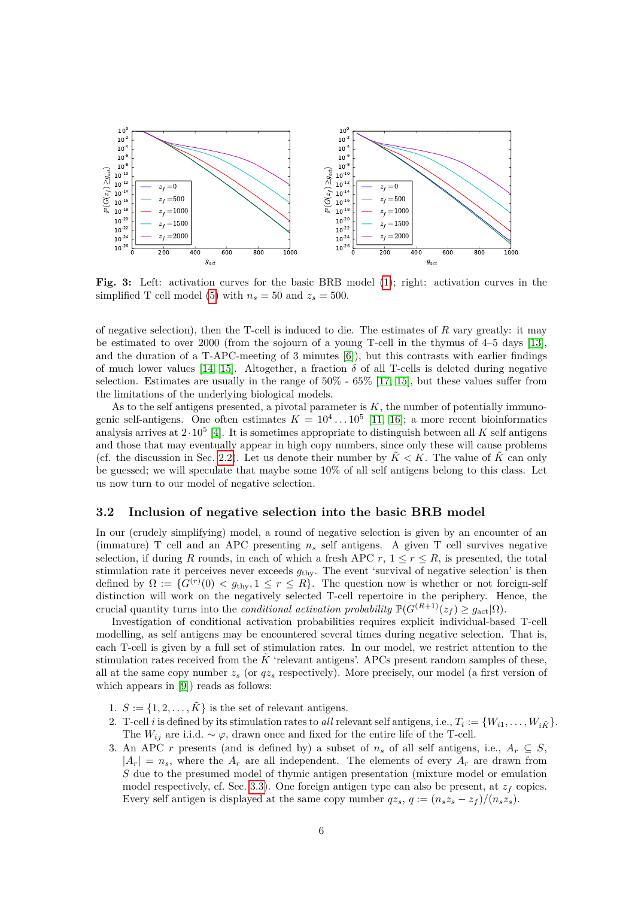<span id="page-5-0"></span>

**Fig. 3:** Left: activation curves for the basic BRB model [\(1\)](#page-3-1); right: activation curves in the simplified T cell model [\(5\)](#page-4-2) with  $n_s = 50$  and  $z_s = 500$ .

of negative selection), then the T-cell is induced to die. The estimates of *R* vary greatly: it may be estimated to over 2000 (from the sojourn of a young T-cell in the thymus of 4–5 days [\[13\]](#page-12-7), and the duration of a T-APC-meeting of 3 minutes [\[6\]](#page-11-6)), but this contrasts with earlier findings of much lower values [\[14,](#page-12-8) [15\]](#page-12-9). Altogether, a fraction  $\delta$  of all T-cells is deleted during negative selection. Estimates are usually in the range of  $50\%$  -  $65\%$  [\[17,](#page-12-10) [15\]](#page-12-9), but these values suffer from the limitations of the underlying biological models.

As to the self antigens presented, a pivotal parameter is  $K$ , the number of potentially immunogenic self-antigens. One often estimates  $K = 10^4 \dots 10^5$  [\[11,](#page-12-3) [16\]](#page-12-11); a more recent bioinformatics analysis arrives at  $2 \cdot 10^5$  [\[4\]](#page-11-7). It is sometimes appropriate to distinguish between all *K* self antigens and those that may eventually appear in high copy numbers, since only these will cause problems (cf. the discussion in Sec. [2.2\)](#page-4-3). Let us denote their number by  $\tilde{K} < K$ . The value of  $\tilde{K}$  can only be guessed; we will speculate that maybe some 10% of all self antigens belong to this class. Let us now turn to our model of negative selection.

### **3.2 Inclusion of negative selection into the basic BRB model**

In our (crudely simplifying) model, a round of negative selection is given by an encounter of an (immature) T cell and an APC presenting  $n<sub>s</sub>$  self antigens. A given T cell survives negative selection, if during *R* rounds, in each of which a fresh APC  $r, 1 \leq r \leq R$ , is presented, the total stimulation rate it perceives never exceeds  $g_{\text{thy}}$ . The event 'survival of negative selection' is then defined by  $\Omega := \{ G^{(r)}(0) < g_{\text{thy}}, 1 \leq r \leq R \}.$  The question now is whether or not foreign-self distinction will work on the negatively selected T-cell repertoire in the periphery. Hence, the crucial quantity turns into the *conditional activation probability*  $\mathbb{P}(G^{(R+1)}(z_f) \geq q_{\text{act}}|\Omega)$ .

Investigation of conditional activation probabilities requires explicit individual-based T-cell modelling, as self antigens may be encountered several times during negative selection. That is, each T-cell is given by a full set of stimulation rates. In our model, we restrict attention to the stimulation rates received from the  $\tilde{K}$  'relevant antigens'. APCs present random samples of these, all at the same copy number *z<sup>s</sup>* (or *qz<sup>s</sup>* respectively). More precisely, our model (a first version of which appears in [\[9\]](#page-11-8)) reads as follows:

- 1.  $S := \{1, 2, \ldots, \tilde{K}\}\$ is the set of relevant antigens.
- 2. T-cell *i* is defined by its stimulation rates to *all* relevant self antigens, i.e.,  $T_i := \{W_{i1}, \ldots, W_{i\tilde{K}}\}.$ The  $W_{ij}$  are i.i.d. ~  $\varphi$ , drawn once and fixed for the entire life of the T-cell.
- 3. An APC *r* presents (and is defined by) a subset of  $n_s$  of all self antigens, i.e.,  $A_r \subseteq S$ ,  $|A_r| = n_s$ , where the  $A_r$  are all independent. The elements of every  $A_r$  are drawn from *S* due to the presumed model of thymic antigen presentation (mixture model or emulation model respectively, cf. Sec. [3.3\)](#page-6-1). One foreign antigen type can also be present, at  $z_f$  copies. Every self antigen is displayed at the same copy number  $qz_s$ ,  $q := (n_sz_s - z_f)/(n_sz_s)$ .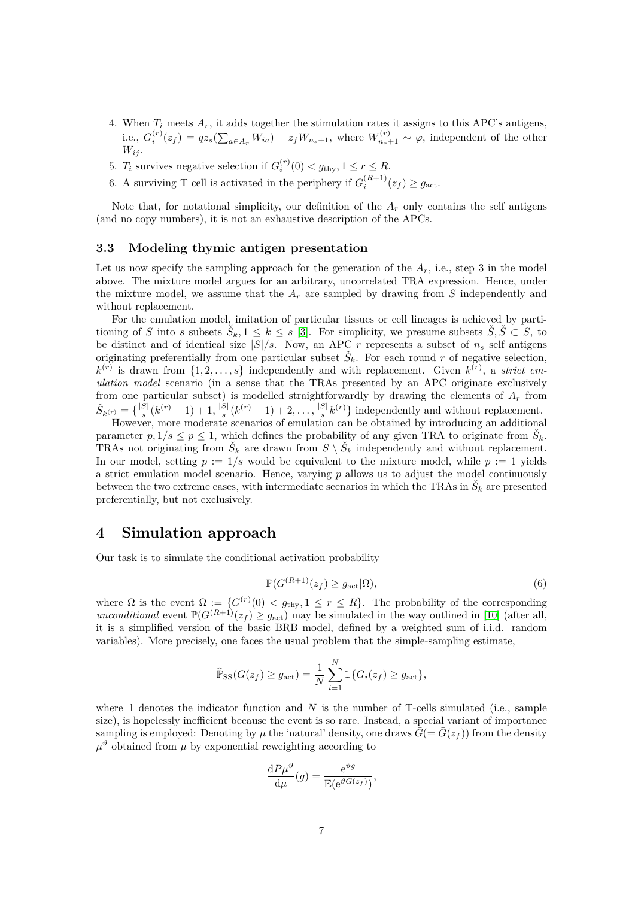- 4. When  $T_i$  meets  $A_r$ , it adds together the stimulation rates it assigns to this APC's antigens, i.e.,  $G_i^{(r)}(z_f) = qz_s(\sum_{a \in A_r} W_{ia}) + z_f W_{n_s+1}$ , where  $W_{n_s+1}^{(r)} \sim \varphi$ , independent of the other  $W_{ij}$ .
- 5. *T<sub>i</sub>* survives negative selection if  $G_i^{(r)}(0) < g_{\text{thy}}, 1 \le r \le R$ .
- 6. A surviving T cell is activated in the periphery if  $G_i^{(R+1)}(z_f) \ge g_{\text{act}}$ .

Note that, for notational simplicity, our definition of the  $A_r$  only contains the self antigens (and no copy numbers), it is not an exhaustive description of the APCs.

#### <span id="page-6-1"></span>**3.3 Modeling thymic antigen presentation**

Let us now specify the sampling approach for the generation of the  $A_r$ , i.e., step 3 in the model above. The mixture model argues for an arbitrary, uncorrelated TRA expression. Hence, under the mixture model, we assume that the  $A<sub>r</sub>$  are sampled by drawing from  $S$  independently and without replacement.

For the emulation model, imitation of particular tissues or cell lineages is achieved by partitioning of *S* into *s* subsets  $\check{S}_k$ ,  $1 \leq k \leq s$  [\[3\]](#page-11-1). For simplicity, we presume subsets  $\check{S}, \check{S} \subset S$ , to be distinct and of identical size  $|S|/s$ . Now, an APC *r* represents a subset of  $n_s$  self antigens originating preferentially from one particular subset  $\check{S}_k$ . For each round *r* of negative selection,  $k^{(r)}$  is drawn from  $\{1, 2, \ldots, s\}$  independently and with replacement. Given  $k^{(r)}$ , a *strict emulation model* scenario (in a sense that the TRAs presented by an APC originate exclusively from one particular subset) is modelled straightforwardly by drawing the elements of *A<sup>r</sup>* from  $\check{S}_{k^{(r)}} = \{\frac{|S|}{s}$  $\frac{|S|}{s}(k^{(r)}-1)+1, \frac{|S|}{s}$  $\frac{|S|}{s}(k^{(r)}-1)+2,\ldots,\frac{|S|}{s}$  $\frac{S|}{s}k^{(r)}\}$  independently and without replacement.

However, more moderate scenarios of emulation can be obtained by introducing an additional parameter  $p, 1/s \leq p \leq 1$ , which defines the probability of any given TRA to originate from  $\check{S}_k$ . TRAs not originating from  $\check{S}_k$  are drawn from  $S \setminus \check{S}_k$  independently and without replacement. In our model, setting  $p := 1/s$  would be equivalent to the mixture model, while  $p := 1$  yields a strict emulation model scenario. Hence, varying *p* allows us to adjust the model continuously between the two extreme cases, with intermediate scenarios in which the TRAs in  $\check{S}_k$  are presented preferentially, but not exclusively.

# <span id="page-6-0"></span>**4 Simulation approach**

Our task is to simulate the conditional activation probability

<span id="page-6-2"></span>
$$
\mathbb{P}(G^{(R+1)}(z_f) \ge g_{\text{act}}|\Omega),\tag{6}
$$

where  $\Omega$  is the event  $\Omega := \{G^{(r)}(0) < g_{\text{thy}}, 1 \leq r \leq R\}$ . The probability of the corresponding *unconditional* event  $\mathbb{P}(G^{(R+1)}(z_f) \geq g_{\text{act}})$  may be simulated in the way outlined in [\[10\]](#page-11-0) (after all, it is a simplified version of the basic BRB model, defined by a weighted sum of i.i.d. random variables). More precisely, one faces the usual problem that the simple-sampling estimate,

$$
\widehat{\mathbb{P}}_{\text{SS}}(G(z_f) \ge g_{\text{act}}) = \frac{1}{N} \sum_{i=1}^{N} \mathbb{1} \{ G_i(z_f) \ge g_{\text{act}} \},
$$

where 1 denotes the indicator function and N is the number of T-cells simulated (i.e., sample size), is hopelessly inefficient because the event is so rare. Instead, a special variant of importance sampling is employed: Denoting by  $\mu$  the 'natural' density, one draws  $\bar{G} = \bar{G}(z_f)$  from the density  $\mu^{\vartheta}$  obtained from  $\mu$  by exponential reweighting according to

$$
\frac{\mathrm{d}P\mu^{\vartheta}}{\mathrm{d}\mu}(g) = \frac{\mathrm{e}^{\vartheta g}}{\mathbb{E}(\mathrm{e}^{\vartheta G(z_f)})},
$$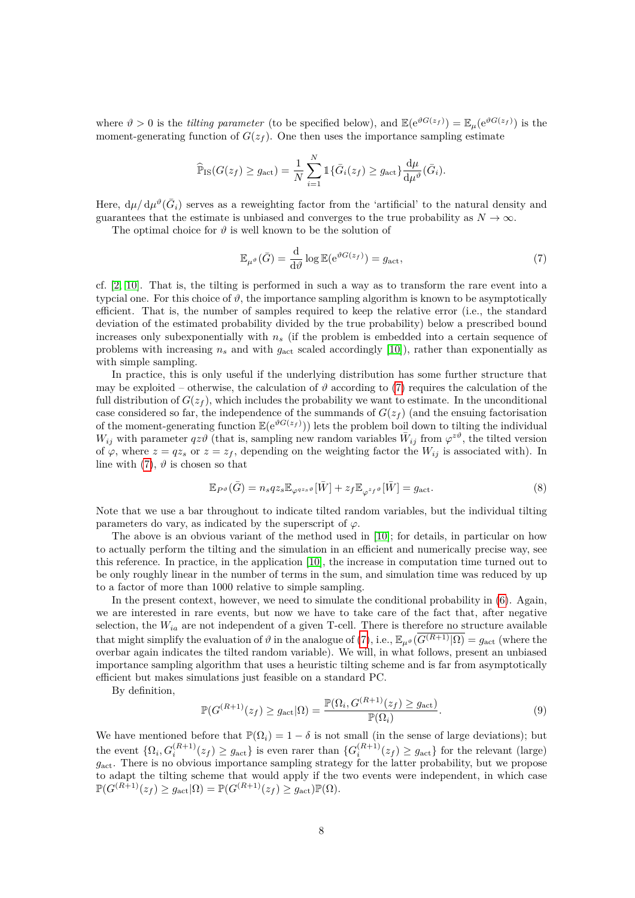where  $\vartheta > 0$  is the *tilting parameter* (to be specified below), and  $\mathbb{E}(e^{\vartheta G(z_f)}) = \mathbb{E}_{\mu}(e^{\vartheta G(z_f)})$  is the moment-generating function of  $G(z_f)$ . One then uses the importance sampling estimate

$$
\widehat{\mathbb{P}}_{\text{IS}}(G(z_f) \ge g_{\text{act}}) = \frac{1}{N} \sum_{i=1}^{N} \mathbb{1}\{\bar{G}_i(z_f) \ge g_{\text{act}}\} \frac{\mathrm{d}\mu}{\mathrm{d}\mu^{\vartheta}}(\bar{G}_i).
$$

Here,  $d\mu/d\mu^{\vartheta}(\bar{G}_i)$  serves as a reweighting factor from the 'artificial' to the natural density and guarantees that the estimate is unbiased and converges to the true probability as  $N \to \infty$ .

The optimal choice for  $\vartheta$  is well known to be the solution of

<span id="page-7-0"></span>
$$
\mathbb{E}_{\mu^{\vartheta}}(\bar{G}) = \frac{\mathrm{d}}{\mathrm{d}\vartheta} \log \mathbb{E}(\mathrm{e}^{\vartheta G(z_f)}) = g_{\mathrm{act}},\tag{7}
$$

cf. [\[2,](#page-11-9) [10\]](#page-11-0). That is, the tilting is performed in such a way as to transform the rare event into a typcial one. For this choice of  $\vartheta$ , the importance sampling algorithm is known to be asymptotically efficient. That is, the number of samples required to keep the relative error (i.e., the standard deviation of the estimated probability divided by the true probability) below a prescribed bound increases only subexponentially with *n<sup>s</sup>* (if the problem is embedded into a certain sequence of problems with increasing  $n_s$  and with  $g_{\text{act}}$  scaled accordingly [\[10\]](#page-11-0)), rather than exponentially as with simple sampling.

In practice, this is only useful if the underlying distribution has some further structure that may be exploited – otherwise, the calculation of  $\vartheta$  according to [\(7\)](#page-7-0) requires the calculation of the full distribution of  $G(z_f)$ , which includes the probability we want to estimate. In the unconditional case considered so far, the independence of the summands of  $G(z_f)$  (and the ensuing factorisation of the moment-generating function  $\mathbb{E}(e^{\vartheta G(z_f)})$  lets the problem boil down to tilting the individual *W*<sub>ij</sub> with parameter  $qz\vartheta$  (that is, sampling new random variables  $\bar{W}_{ij}$  from  $\varphi^{z\vartheta}$ , the tilted version of  $\varphi$ , where  $z = qz_s$  or  $z = z_f$ , depending on the weighting factor the  $W_{ij}$  is associated with). In line with  $(7)$ ,  $\vartheta$  is chosen so that

<span id="page-7-1"></span>
$$
\mathbb{E}_{P^{\vartheta}}(\bar{G}) = n_s q z_s \mathbb{E}_{\varphi^{qz_s\vartheta}}[\bar{W}] + z_f \mathbb{E}_{\varphi^{z_f\vartheta}}[\bar{W}] = g_{\text{act}}.
$$
\n(8)

Note that we use a bar throughout to indicate tilted random variables, but the individual tilting parameters do vary, as indicated by the superscript of *ϕ*.

The above is an obvious variant of the method used in [\[10\]](#page-11-0); for details, in particular on how to actually perform the tilting and the simulation in an efficient and numerically precise way, see this reference. In practice, in the application [\[10\]](#page-11-0), the increase in computation time turned out to be only roughly linear in the number of terms in the sum, and simulation time was reduced by up to a factor of more than 1000 relative to simple sampling.

In the present context, however, we need to simulate the conditional probability in [\(6\)](#page-6-2). Again, we are interested in rare events, but now we have to take care of the fact that, after negative selection, the  $W_{ia}$  are not independent of a given T-cell. There is therefore no structure available that might simplify the evaluation of  $\vartheta$  in the analogue of [\(7\)](#page-7-0), i.e.,  $\mathbb{E}_{\mu^{\vartheta}}(\overline{G^{(R+1)}|\Omega)} = g_{\text{act}}$  (where the overbar again indicates the tilted random variable). We will, in what follows, present an unbiased importance sampling algorithm that uses a heuristic tilting scheme and is far from asymptotically efficient but makes simulations just feasible on a standard PC.

By definition,

<span id="page-7-2"></span>
$$
\mathbb{P}(G^{(R+1)}(z_f) \ge g_{\text{act}}|\Omega) = \frac{\mathbb{P}(\Omega_i, G^{(R+1)}(z_f) \ge g_{\text{act}})}{\mathbb{P}(\Omega_i)}.
$$
\n(9)

We have mentioned before that  $\mathbb{P}(\Omega_i) = 1 - \delta$  is not small (in the sense of large deviations); but the event  $\{\Omega_i, G_i^{(R+1)}(z_f) \ge g_{\text{act}}\}\)$  is even rarer than  $\{G_i^{(R+1)}(z_f) \ge g_{\text{act}}\}\)$  for the relevant (large) *g*act. There is no obvious importance sampling strategy for the latter probability, but we propose to adapt the tilting scheme that would apply if the two events were independent, in which case  $\mathbb{P}(G^{(R+1)}(z_f) \geq g_{\text{act}}|\Omega) = \mathbb{P}(G^{(R+1)}(z_f) \geq g_{\text{act}})\mathbb{P}(\Omega).$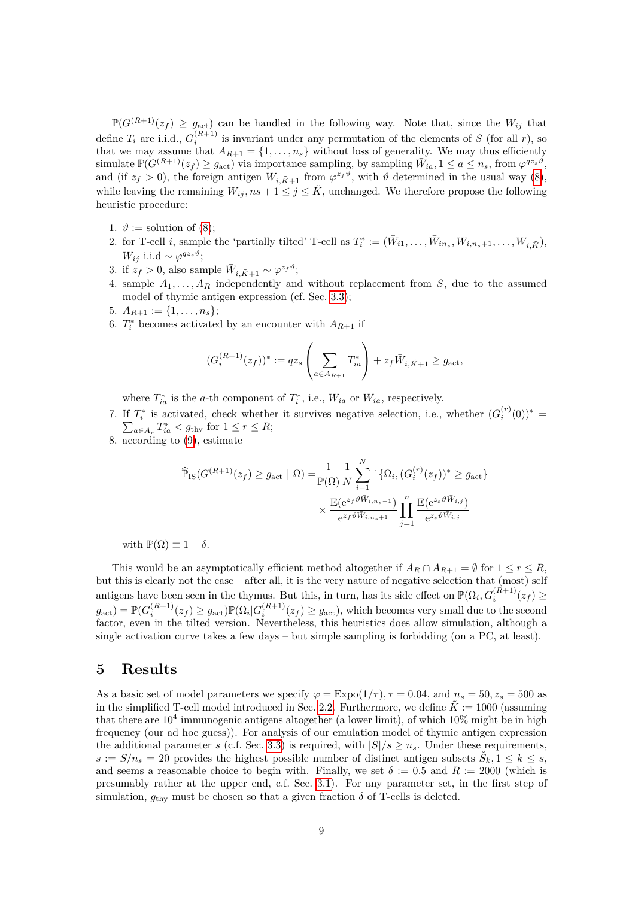$\mathbb{P}(G^{(R+1)}(z_f) \geq g_{\text{act}})$  can be handled in the following way. Note that, since the  $W_{ij}$  that define  $T_i$  are i.i.d.,  $G_i^{(R+1)}$  is invariant under any permutation of the elements of *S* (for all *r*), so that we may assume that  $A_{R+1} = \{1, \ldots, n_s\}$  without loss of generality. We may thus efficiently  $\text{simulate } \mathbb{P}(G^{(R+1)}(z_f) \geq g_{\text{act}})$  via importance sampling, by sampling  $\overline{W}_{ia}, 1 \leq a \leq n_s$ , from  $\varphi^{qz_s\hat{\vartheta}},$ and (if  $z_f > 0$ ), the foreign antigen  $\overline{W}_{i,\tilde{K}+1}$  from  $\varphi^{z_f\theta}$ , with  $\vartheta$  determined in the usual way [\(8\)](#page-7-1), while leaving the remaining  $W_{ij}$ ,  $ns + 1 \leq j \leq \tilde{K}$ , unchanged. We therefore propose the following heuristic procedure:

- 1.  $\vartheta :=$  solution of [\(8\)](#page-7-1);
- 2. for T-cell *i*, sample the 'partially tilted' T-cell as  $T_i^* := (\bar{W}_{i1}, \ldots, \bar{W}_{in_s}, W_{i,n_s+1}, \ldots, W_{i,\tilde{K}})$ , *W*<sub>*ij*</sub> i.i.d ∼  $\varphi^{qz_s\vartheta}$ ;
- 3. if  $z_f > 0$ , also sample  $\bar{W}_{i,\tilde{K}+1} \sim \varphi^{z_f \vartheta}$ ;
- 4. sample  $A_1, \ldots, A_R$  independently and without replacement from *S*, due to the assumed model of thymic antigen expression (cf. Sec. [3.3\)](#page-6-1);
- 5.  $A_{R+1} := \{1, \ldots, n_s\};$
- 6.  $T_i^*$  becomes activated by an encounter with  $A_{R+1}$  if

$$
(G_i^{(R+1)}(z_f))^* := qz_s \left( \sum_{a \in A_{R+1}} T_{ia}^* \right) + z_f \bar{W}_{i, \tilde{K}+1} \ge g_{\text{act}},
$$

where  $T_{ia}^*$  is the *a*-th component of  $T_i^*$ , i.e.,  $\bar{W}_{ia}$  or  $W_{ia}$ , respectively.

- 7. If  $T_i^*$  is activated, check whether it survives negative selection, i.e., whether  $(G_i^{(r)}(0))^*$  =  $\sum_{a \in A_r} T_{ia}^* < g_{\text{thy}}$  for  $1 \leq r \leq R$ ;
- 8. according to [\(9\)](#page-7-2), estimate

$$
\widehat{\mathbb{P}}_{\text{IS}}(G^{(R+1)}(z_f) \ge g_{\text{act}} \mid \Omega) = \frac{1}{\mathbb{P}(\Omega)} \frac{1}{N} \sum_{i=1}^N \mathbb{1}_{\{\Omega_i, (G_i^{(r)}(z_f))^* \ge g_{\text{act}}\}}
$$
\n
$$
\times \frac{\mathbb{E}(e^{z_f \vartheta \bar{W}_{i,n_s+1}})}{e^{z_f \vartheta \bar{W}_{i,n_s+1}}} \prod_{j=1}^n \frac{\mathbb{E}(e^{z_s \vartheta \bar{W}_{i,j}})}{e^{z_s \vartheta \bar{W}_{i,j}}}
$$

with  $\mathbb{P}(\Omega) \equiv 1 - \delta$ .

This would be an asymptotically efficient method altogether if  $A_R \cap A_{R+1} = \emptyset$  for  $1 \leq r \leq R$ , but this is clearly not the case – after all, it is the very nature of negative selection that (most) self antigens have been seen in the thymus. But this, in turn, has its side effect on  $\mathbb{P}(\Omega_i, G_i^{(R+1)}(z_f) \geq 0$  $g_{\text{act}}) = \mathbb{P}(G_i^{(R+1)}(z_f) \geq g_{\text{act}}) \mathbb{P}(\Omega_i | G_i^{(R+1)}(z_f) \geq g_{\text{act}})$ , which becomes very small due to the second factor, even in the tilted version. Nevertheless, this heuristics does allow simulation, although a single activation curve takes a few days – but simple sampling is forbidding (on a PC, at least).

## <span id="page-8-0"></span>**5 Results**

As a basic set of model parameters we specify  $\varphi = \text{Expo}(1/\overline{\tau})$ ,  $\overline{\tau} = 0.04$ , and  $n_s = 50$ ,  $z_s = 500$  as in the simplified T-cell model introduced in Sec. [2.2.](#page-4-3) Furthermore, we define  $\tilde{K} := 1000$  (assuming that there are  $10^4$  immunogenic antigens altogether (a lower limit), of which  $10\%$  might be in high frequency (our ad hoc guess)). For analysis of our emulation model of thymic antigen expression the additional parameter *s* (c.f. Sec. [3.3\)](#page-6-1) is required, with  $|S|/s \geq n_s$ . Under these requirements,  $s := S/n_s = 20$  provides the highest possible number of distinct antigen subsets  $\check{S}_k, 1 \leq k \leq s$ , and seems a reasonable choice to begin with. Finally, we set  $\delta := 0.5$  and  $R := 2000$  (which is presumably rather at the upper end, c.f. Sec. [3.1\)](#page-4-4). For any parameter set, in the first step of simulation,  $g_{\text{thv}}$  must be chosen so that a given fraction  $\delta$  of T-cells is deleted.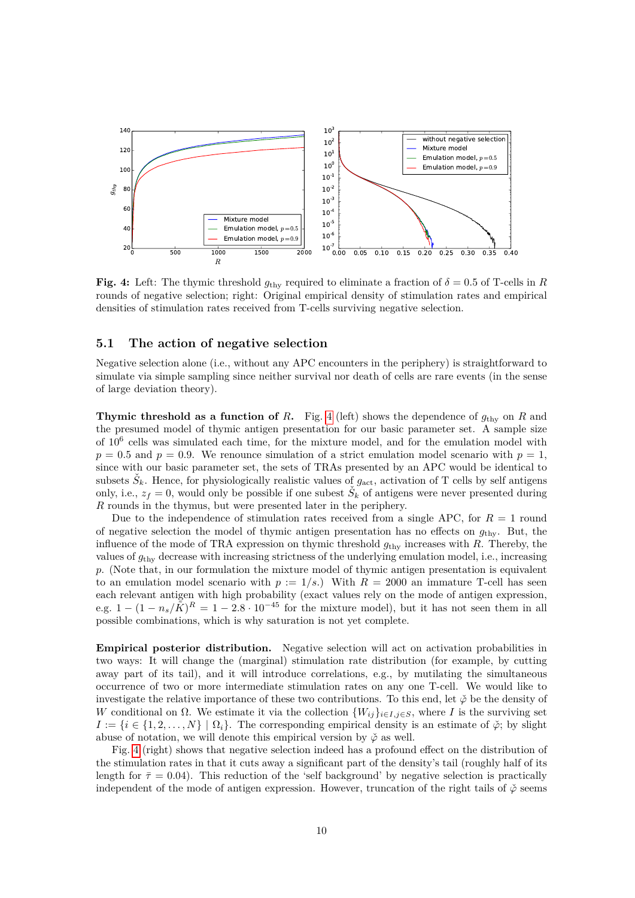<span id="page-9-0"></span>

**Fig. 4:** Left: The thymic threshold  $g_{\text{thy}}$  required to eliminate a fraction of  $\delta = 0.5$  of T-cells in *R* rounds of negative selection; right: Original empirical density of stimulation rates and empirical densities of stimulation rates received from T-cells surviving negative selection.

### **5.1 The action of negative selection**

Negative selection alone (i.e., without any APC encounters in the periphery) is straightforward to simulate via simple sampling since neither survival nor death of cells are rare events (in the sense of large deviation theory).

**Thymic threshold as a function of** *R***.** Fig. [4](#page-9-0) (left) shows the dependence of  $g_{\text{thv}}$  on *R* and the presumed model of thymic antigen presentation for our basic parameter set. A sample size of 10<sup>6</sup> cells was simulated each time, for the mixture model, and for the emulation model with  $p = 0.5$  and  $p = 0.9$ . We renounce simulation of a strict emulation model scenario with  $p = 1$ , since with our basic parameter set, the sets of TRAs presented by an APC would be identical to subsets  $\check{S}_k$ . Hence, for physiologically realistic values of  $g_{\text{act}}$ , activation of T cells by self antigens only, i.e.,  $z_f = 0$ , would only be possible if one subest  $\check{S}_k$  of antigens were never presented during *R* rounds in the thymus, but were presented later in the periphery.

Due to the independence of stimulation rates received from a single APC, for  $R = 1$  round of negative selection the model of thymic antigen presentation has no effects on  $g_{\text{thv}}$ . But, the influence of the mode of TRA expression on thymic threshold  $g_{\text{thy}}$  increases with *R*. Thereby, the values of *g*thy decrease with increasing strictness of the underlying emulation model, i.e., increasing *p*. (Note that, in our formulation the mixture model of thymic antigen presentation is equivalent to an emulation model scenario with  $p := 1/s$ .) With  $R = 2000$  an immature T-cell has seen each relevant antigen with high probability (exact values rely on the mode of antigen expression, e.g.  $1 - (1 - n_s/\tilde{K})^R = 1 - 2.8 \cdot 10^{-45}$  for the mixture model), but it has not seen them in all possible combinations, which is why saturation is not yet complete.

**Empirical posterior distribution.** Negative selection will act on activation probabilities in two ways: It will change the (marginal) stimulation rate distribution (for example, by cutting away part of its tail), and it will introduce correlations, e.g., by mutilating the simultaneous occurrence of two or more intermediate stimulation rates on any one T-cell. We would like to investigate the relative importance of these two contributions. To this end, let  $\phi$  be the density of *W* conditional on  $\Omega$ . We estimate it via the collection  $\{W_{ij}\}_{i\in I,j\in S}$ , where *I* is the surviving set  $I := \{i \in \{1, 2, ..., N\} \mid \Omega_i\}$ . The corresponding empirical density is an estimate of  $\phi$ ; by slight abuse of notation, we will denote this empirical version by  $\phi$  as well.

Fig. [4](#page-9-0) (right) shows that negative selection indeed has a profound effect on the distribution of the stimulation rates in that it cuts away a significant part of the density's tail (roughly half of its length for  $\bar{\tau}=0.04$ ). This reduction of the 'self background' by negative selection is practically independent of the mode of antigen expression. However, truncation of the right tails of  $\phi$  seems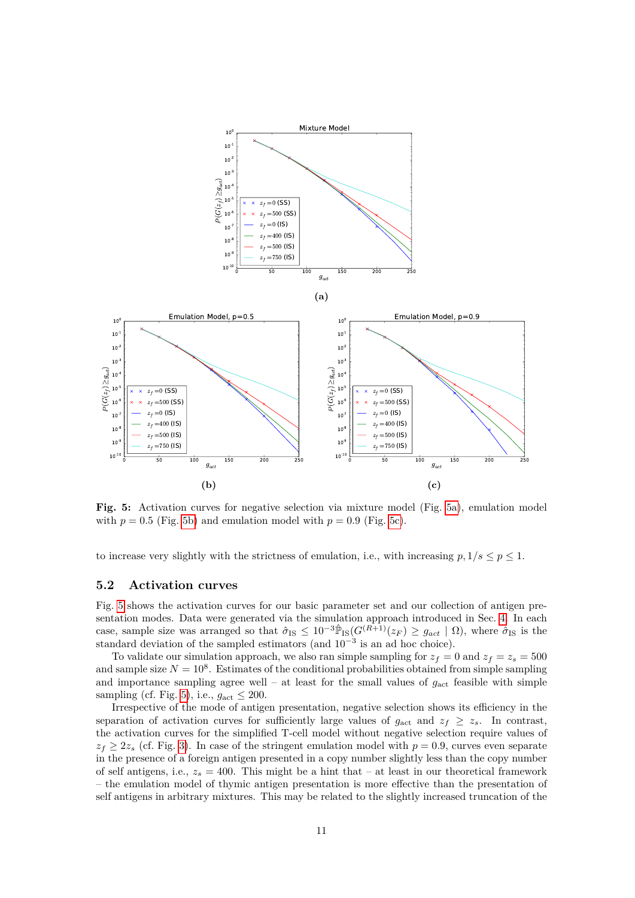<span id="page-10-0"></span>

**Fig. 5:** Activation curves for negative selection via mixture model (Fig. [5a\)](#page-10-0), emulation model with  $p = 0.5$  (Fig. [5b\)](#page-10-0) and emulation model with  $p = 0.9$  (Fig. [5c\)](#page-10-0).

to increase very slightly with the strictness of emulation, i.e., with increasing  $p, 1/s \leq p \leq 1$ .

### **5.2 Activation curves**

Fig. [5](#page-10-0) shows the activation curves for our basic parameter set and our collection of antigen presentation modes. Data were generated via the simulation approach introduced in Sec. [4.](#page-6-0) In each case, sample size was arranged so that  $\hat{\sigma}_{IS} \leq 10^{-3} \hat{\mathbb{P}}_{IS} (G^{(R+1)}(z_F) \geq g_{act} | \Omega)$ , where  $\hat{\sigma}_{IS}$  is the standard deviation of the sampled estimators (and  $10^{-3}$  is an ad hoc choice).

To validate our simulation approach, we also ran simple sampling for  $z_f = 0$  and  $z_f = z_s = 500$ and sample size  $N = 10^8$ . Estimates of the conditional probabilities obtained from simple sampling and importance sampling agree well – at least for the small values of  $g_{\text{act}}$  feasible with simple sampling (cf. Fig. [5\)](#page-10-0), i.e.,  $g_{\text{act}} \leq 200$ .

Irrespective of the mode of antigen presentation, negative selection shows its efficiency in the separation of activation curves for sufficiently large values of  $g_{\text{act}}$  and  $z_f \geq z_s$ . In contrast, the activation curves for the simplified T-cell model without negative selection require values of  $z_f \geq 2z_s$  (cf. Fig. [3\)](#page-5-0). In case of the stringent emulation model with  $p = 0.9$ , curves even separate in the presence of a foreign antigen presented in a copy number slightly less than the copy number of self antigens, i.e.,  $z_s = 400$ . This might be a hint that – at least in our theoretical framework – the emulation model of thymic antigen presentation is more effective than the presentation of self antigens in arbitrary mixtures. This may be related to the slightly increased truncation of the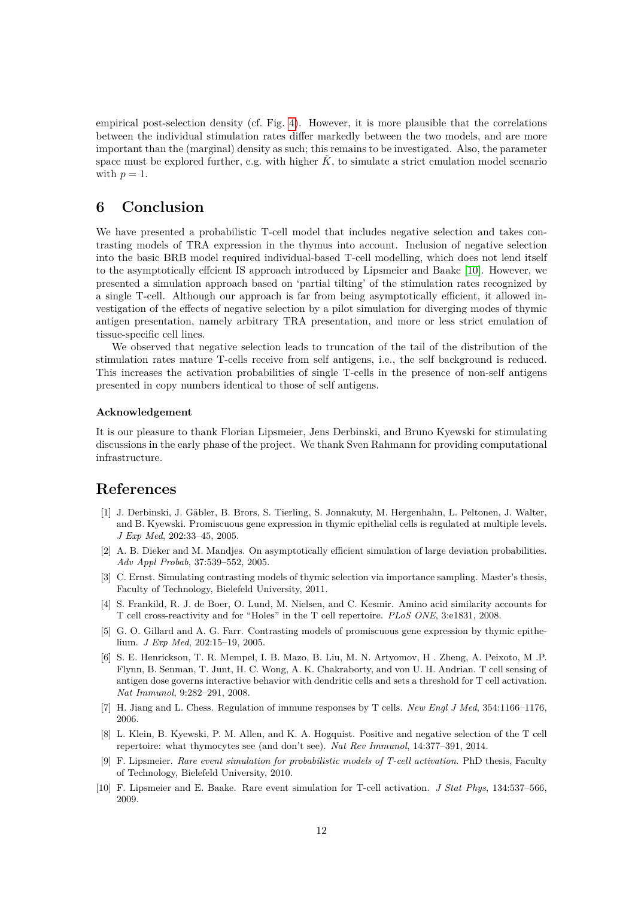empirical post-selection density (cf. Fig. [4\)](#page-9-0). However, it is more plausible that the correlations between the individual stimulation rates differ markedly between the two models, and are more important than the (marginal) density as such; this remains to be investigated. Also, the parameter space must be explored further, e.g. with higher  $\tilde{K}$ , to simulate a strict emulation model scenario with  $p = 1$ .

# **6 Conclusion**

We have presented a probabilistic T-cell model that includes negative selection and takes contrasting models of TRA expression in the thymus into account. Inclusion of negative selection into the basic BRB model required individual-based T-cell modelling, which does not lend itself to the asymptotically effcient IS approach introduced by Lipsmeier and Baake [\[10\]](#page-11-0). However, we presented a simulation approach based on 'partial tilting' of the stimulation rates recognized by a single T-cell. Although our approach is far from being asymptotically efficient, it allowed investigation of the effects of negative selection by a pilot simulation for diverging modes of thymic antigen presentation, namely arbitrary TRA presentation, and more or less strict emulation of tissue-specific cell lines.

We observed that negative selection leads to truncation of the tail of the distribution of the stimulation rates mature T-cells receive from self antigens, i.e., the self background is reduced. This increases the activation probabilities of single T-cells in the presence of non-self antigens presented in copy numbers identical to those of self antigens.

#### **Acknowledgement**

It is our pleasure to thank Florian Lipsmeier, Jens Derbinski, and Bruno Kyewski for stimulating discussions in the early phase of the project. We thank Sven Rahmann for providing computational infrastructure.

# **References**

- <span id="page-11-2"></span>[1] J. Derbinski, J. Gäbler, B. Brors, S. Tierling, S. Jonnakuty, M. Hergenhahn, L. Peltonen, J. Walter, and B. Kyewski. Promiscuous gene expression in thymic epithelial cells is regulated at multiple levels. *J Exp Med*, 202:33–45, 2005.
- <span id="page-11-9"></span>[2] A. B. Dieker and M. Mandjes. On asymptotically efficient simulation of large deviation probabilities. *Adv Appl Probab*, 37:539–552, 2005.
- <span id="page-11-1"></span>[3] C. Ernst. Simulating contrasting models of thymic selection via importance sampling. Master's thesis, Faculty of Technology, Bielefeld University, 2011.
- <span id="page-11-7"></span>[4] S. Frankild, R. J. de Boer, O. Lund, M. Nielsen, and C. Kesmir. Amino acid similarity accounts for T cell cross-reactivity and for "Holes" in the T cell repertoire. *PLoS ONE*, 3:e1831, 2008.
- <span id="page-11-3"></span>[5] G. O. Gillard and A. G. Farr. Contrasting models of promiscuous gene expression by thymic epithelium. *J Exp Med*, 202:15–19, 2005.
- <span id="page-11-6"></span>[6] S. E. Henrickson, T. R. Mempel, I. B. Mazo, B. Liu, M. N. Artyomov, H . Zheng, A. Peixoto, M .P. Flynn, B. Senman, T. Junt, H. C. Wong, A. K. Chakraborty, and von U. H. Andrian. T cell sensing of antigen dose governs interactive behavior with dendritic cells and sets a threshold for T cell activation. *Nat Immunol*, 9:282–291, 2008.
- <span id="page-11-5"></span>[7] H. Jiang and L. Chess. Regulation of immune responses by T cells. *New Engl J Med*, 354:1166–1176, 2006.
- <span id="page-11-4"></span>[8] L. Klein, B. Kyewski, P. M. Allen, and K. A. Hogquist. Positive and negative selection of the T cell repertoire: what thymocytes see (and don't see). *Nat Rev Immunol*, 14:377–391, 2014.
- <span id="page-11-8"></span>[9] F. Lipsmeier. *Rare event simulation for probabilistic models of T-cell activation*. PhD thesis, Faculty of Technology, Bielefeld University, 2010.
- <span id="page-11-0"></span>[10] F. Lipsmeier and E. Baake. Rare event simulation for T-cell activation. *J Stat Phys*, 134:537–566, 2009.